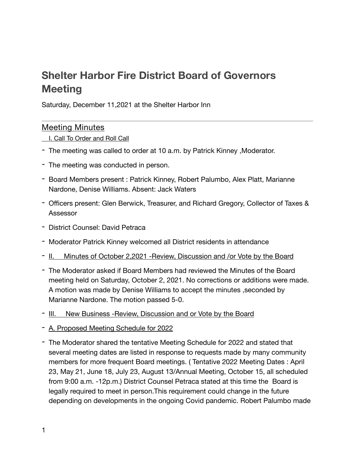# **Shelter Harbor Fire District Board of Governors Meeting**

Saturday, December 11,2021 at the Shelter Harbor Inn

## Meeting Minutes

- I. Call To Order and Roll Call
- The meeting was called to order at 10 a.m. by Patrick Kinney ,Moderator.
- The meeting was conducted in person.
- Board Members present : Patrick Kinney, Robert Palumbo, Alex Platt, Marianne Nardone, Denise Williams. Absent: Jack Waters
- Officers present: Glen Berwick, Treasurer, and Richard Gregory, Collector of Taxes & Assessor
- District Counsel: David Petraca
- Moderator Patrick Kinney welcomed all District residents in attendance
- II. Minutes of October 2,2021 -Review, Discussion and /or Vote by the Board
- The Moderator asked if Board Members had reviewed the Minutes of the Board meeting held on Saturday, October 2, 2021. No corrections or additions were made. A motion was made by Denise Williams to accept the minutes ,seconded by Marianne Nardone. The motion passed 5-0.
- III. New Business Review, Discussion and or Vote by the Board
- A. Proposed Meeting Schedule for 2022
- The Moderator shared the tentative Meeting Schedule for 2022 and stated that several meeting dates are listed in response to requests made by many community members for more frequent Board meetings. ( Tentative 2022 Meeting Dates : April 23, May 21, June 18, July 23, August 13/Annual Meeting, October 15, all scheduled from 9:00 a.m. -12p.m.) District Counsel Petraca stated at this time the Board is legally required to meet in person.This requirement could change in the future depending on developments in the ongoing Covid pandemic. Robert Palumbo made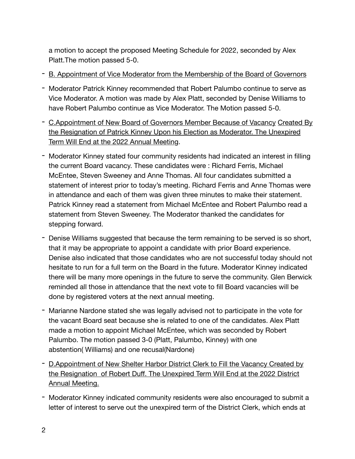a motion to accept the proposed Meeting Schedule for 2022, seconded by Alex Platt.The motion passed 5-0.

- B. Appointment of Vice Moderator from the Membership of the Board of Governors
- Moderator Patrick Kinney recommended that Robert Palumbo continue to serve as Vice Moderator. A motion was made by Alex Platt, seconded by Denise Williams to have Robert Palumbo continue as Vice Moderator. The Motion passed 5-0.
- C.Appointment of New Board of Governors Member Because of Vacancy Created By the Resignation of Patrick Kinney Upon his Election as Moderator. The Unexpired Term Will End at the 2022 Annual Meeting.
- Moderator Kinney stated four community residents had indicated an interest in filling the current Board vacancy. These candidates were : Richard Ferris, Michael McEntee, Steven Sweeney and Anne Thomas. All four candidates submitted a statement of interest prior to today's meeting. Richard Ferris and Anne Thomas were in attendance and each of them was given three minutes to make their statement. Patrick Kinney read a statement from Michael McEntee and Robert Palumbo read a statement from Steven Sweeney. The Moderator thanked the candidates for stepping forward.
- Denise Williams suggested that because the term remaining to be served is so short, that it may be appropriate to appoint a candidate with prior Board experience. Denise also indicated that those candidates who are not successful today should not hesitate to run for a full term on the Board in the future. Moderator Kinney indicated there will be many more openings in the future to serve the community. Glen Berwick reminded all those in attendance that the next vote to fill Board vacancies will be done by registered voters at the next annual meeting.
- Marianne Nardone stated she was legally advised not to participate in the vote for the vacant Board seat because she is related to one of the candidates. Alex Platt made a motion to appoint Michael McEntee, which was seconded by Robert Palumbo. The motion passed 3-0 (Platt, Palumbo, Kinney) with one abstention( Williams) and one recusal(Nardone)
- D.Appointment of New Shelter Harbor District Clerk to Fill the Vacancy Created by the Resignation of Robert Duff. The Unexpired Term Will End at the 2022 District Annual Meeting.
- Moderator Kinney indicated community residents were also encouraged to submit a letter of interest to serve out the unexpired term of the District Clerk, which ends at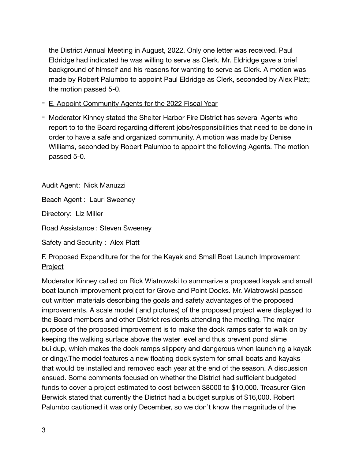the District Annual Meeting in August, 2022. Only one letter was received. Paul Eldridge had indicated he was willing to serve as Clerk. Mr. Eldridge gave a brief background of himself and his reasons for wanting to serve as Clerk. A motion was made by Robert Palumbo to appoint Paul Eldridge as Clerk, seconded by Alex Platt; the motion passed 5-0.

- E. Appoint Community Agents for the 2022 Fiscal Year
- Moderator Kinney stated the Shelter Harbor Fire District has several Agents who report to to the Board regarding different jobs/responsibilities that need to be done in order to have a safe and organized community. A motion was made by Denise Williams, seconded by Robert Palumbo to appoint the following Agents. The motion passed 5-0.

Audit Agent: Nick Manuzzi

Beach Agent : Lauri Sweeney

Directory: Liz Miller

Road Assistance : Steven Sweeney

Safety and Security : Alex Platt

# F. Proposed Expenditure for the for the Kayak and Small Boat Launch Improvement Project

Moderator Kinney called on Rick Wiatrowski to summarize a proposed kayak and small boat launch improvement project for Grove and Point Docks. Mr. Wiatrowski passed out written materials describing the goals and safety advantages of the proposed improvements. A scale model ( and pictures) of the proposed project were displayed to the Board members and other District residents attending the meeting. The major purpose of the proposed improvement is to make the dock ramps safer to walk on by keeping the walking surface above the water level and thus prevent pond slime buildup, which makes the dock ramps slippery and dangerous when launching a kayak or dingy.The model features a new floating dock system for small boats and kayaks that would be installed and removed each year at the end of the season. A discussion ensued. Some comments focused on whether the District had sufficient budgeted funds to cover a project estimated to cost between \$8000 to \$10,000. Treasurer Glen Berwick stated that currently the District had a budget surplus of \$16,000. Robert Palumbo cautioned it was only December, so we don't know the magnitude of the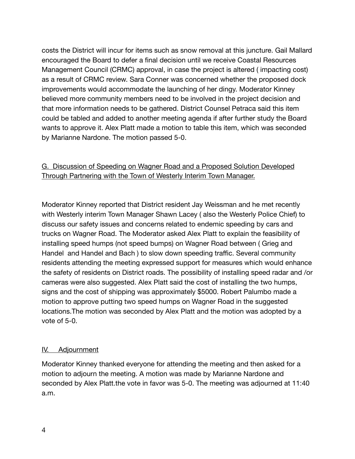costs the District will incur for items such as snow removal at this juncture. Gail Mallard encouraged the Board to defer a final decision until we receive Coastal Resources Management Council (CRMC) approval, in case the project is altered ( impacting cost) as a result of CRMC review. Sara Conner was concerned whether the proposed dock improvements would accommodate the launching of her dingy. Moderator Kinney believed more community members need to be involved in the project decision and that more information needs to be gathered. District Counsel Petraca said this item could be tabled and added to another meeting agenda if after further study the Board wants to approve it. Alex Platt made a motion to table this item, which was seconded by Marianne Nardone. The motion passed 5-0.

## G. Discussion of Speeding on Wagner Road and a Proposed Solution Developed Through Partnering with the Town of Westerly Interim Town Manager.

Moderator Kinney reported that District resident Jay Weissman and he met recently with Westerly interim Town Manager Shawn Lacey ( also the Westerly Police Chief) to discuss our safety issues and concerns related to endemic speeding by cars and trucks on Wagner Road. The Moderator asked Alex Platt to explain the feasibility of installing speed humps (not speed bumps) on Wagner Road between ( Grieg and Handel and Handel and Bach ) to slow down speeding traffic. Several community residents attending the meeting expressed support for measures which would enhance the safety of residents on District roads. The possibility of installing speed radar and /or cameras were also suggested. Alex Platt said the cost of installing the two humps, signs and the cost of shipping was approximately \$5000. Robert Palumbo made a motion to approve putting two speed humps on Wagner Road in the suggested locations.The motion was seconded by Alex Platt and the motion was adopted by a vote of 5-0.

#### IV. Adjournment

Moderator Kinney thanked everyone for attending the meeting and then asked for a motion to adjourn the meeting. A motion was made by Marianne Nardone and seconded by Alex Platt.the vote in favor was 5-0. The meeting was adjourned at 11:40 a.m.